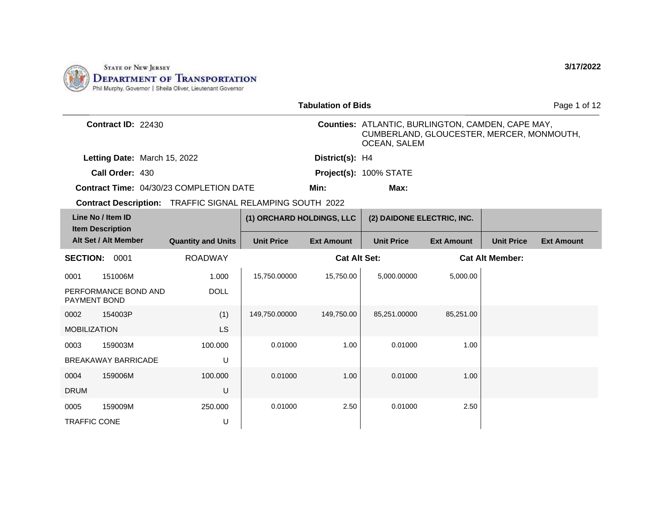

|                                              |                                                                  |                           | <b>Tabulation of Bids</b> |                                                                                                                       |                   |                        | Page 1 of 12      |
|----------------------------------------------|------------------------------------------------------------------|---------------------------|---------------------------|-----------------------------------------------------------------------------------------------------------------------|-------------------|------------------------|-------------------|
| Contract ID: 22430                           |                                                                  |                           |                           | Counties: ATLANTIC, BURLINGTON, CAMDEN, CAPE MAY,<br>CUMBERLAND, GLOUCESTER, MERCER, MONMOUTH,<br><b>OCEAN, SALEM</b> |                   |                        |                   |
| Letting Date: March 15, 2022                 |                                                                  |                           | District(s): H4           |                                                                                                                       |                   |                        |                   |
| Call Order: 430                              |                                                                  |                           |                           | Project(s): 100% STATE                                                                                                |                   |                        |                   |
|                                              | <b>Contract Time: 04/30/23 COMPLETION DATE</b>                   |                           | Min:                      | Max:                                                                                                                  |                   |                        |                   |
|                                              | <b>Contract Description:</b> TRAFFIC SIGNAL RELAMPING SOUTH 2022 |                           |                           |                                                                                                                       |                   |                        |                   |
| Line No / Item ID<br><b>Item Description</b> |                                                                  | (1) ORCHARD HOLDINGS, LLC |                           | (2) DAIDONE ELECTRIC, INC.                                                                                            |                   |                        |                   |
| Alt Set / Alt Member                         | <b>Quantity and Units</b>                                        | <b>Unit Price</b>         | <b>Ext Amount</b>         | <b>Unit Price</b>                                                                                                     | <b>Ext Amount</b> | <b>Unit Price</b>      | <b>Ext Amount</b> |
| <b>SECTION: 0001</b>                         | <b>ROADWAY</b>                                                   |                           | <b>Cat Alt Set:</b>       |                                                                                                                       |                   | <b>Cat Alt Member:</b> |                   |
| 151006M<br>0001                              | 1.000                                                            | 15,750.00000              | 15,750.00                 | 5,000.00000                                                                                                           | 5,000.00          |                        |                   |
| PERFORMANCE BOND AND<br>PAYMENT BOND         | <b>DOLL</b>                                                      |                           |                           |                                                                                                                       |                   |                        |                   |
| 0002<br>154003P                              | (1)                                                              | 149,750.00000             | 149,750.00                | 85,251.00000                                                                                                          | 85,251.00         |                        |                   |
| <b>MOBILIZATION</b>                          | LS                                                               |                           |                           |                                                                                                                       |                   |                        |                   |
| 159003M<br>0003                              | 100.000                                                          | 0.01000                   | 1.00                      | 0.01000                                                                                                               | 1.00              |                        |                   |
| <b>BREAKAWAY BARRICADE</b>                   | U                                                                |                           |                           |                                                                                                                       |                   |                        |                   |
| 159006M<br>0004                              | 100,000                                                          | 0.01000                   | 1.00                      | 0.01000                                                                                                               | 1.00              |                        |                   |
| <b>DRUM</b>                                  | U                                                                |                           |                           |                                                                                                                       |                   |                        |                   |
| 0005<br>159009M                              | 250,000                                                          | 0.01000                   | 2.50                      | 0.01000                                                                                                               | 2.50              |                        |                   |
| <b>TRAFFIC CONE</b>                          | U                                                                |                           |                           |                                                                                                                       |                   |                        |                   |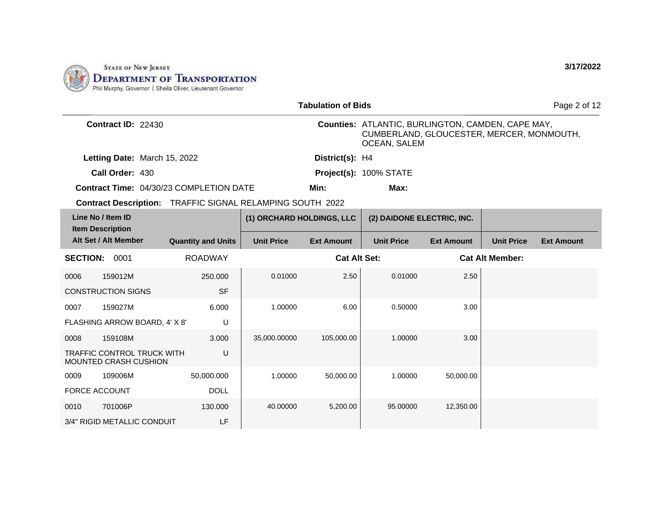

|                                                            |                                                           |                           | <b>Tabulation of Bids</b> |                                                                                                                |                   |                        | Page 2 of 12      |
|------------------------------------------------------------|-----------------------------------------------------------|---------------------------|---------------------------|----------------------------------------------------------------------------------------------------------------|-------------------|------------------------|-------------------|
| Contract ID: 22430                                         |                                                           |                           |                           | Counties: ATLANTIC, BURLINGTON, CAMDEN, CAPE MAY,<br>CUMBERLAND, GLOUCESTER, MERCER, MONMOUTH,<br>OCEAN, SALEM |                   |                        |                   |
| Letting Date: March 15, 2022                               |                                                           |                           | District(s): H4           |                                                                                                                |                   |                        |                   |
| Call Order: 430                                            |                                                           |                           |                           | Project(s): 100% STATE                                                                                         |                   |                        |                   |
| <b>Contract Time: 04/30/23 COMPLETION DATE</b>             |                                                           |                           | Min:                      | Max:                                                                                                           |                   |                        |                   |
|                                                            | Contract Description: TRAFFIC SIGNAL RELAMPING SOUTH 2022 |                           |                           |                                                                                                                |                   |                        |                   |
| Line No / Item ID<br><b>Item Description</b>               |                                                           | (1) ORCHARD HOLDINGS, LLC |                           | (2) DAIDONE ELECTRIC, INC.                                                                                     |                   |                        |                   |
| Alt Set / Alt Member                                       | <b>Quantity and Units</b>                                 | <b>Unit Price</b>         | <b>Ext Amount</b>         | <b>Unit Price</b>                                                                                              | <b>Ext Amount</b> | <b>Unit Price</b>      | <b>Ext Amount</b> |
| <b>SECTION: 0001</b>                                       | <b>ROADWAY</b>                                            |                           | <b>Cat Alt Set:</b>       |                                                                                                                |                   | <b>Cat Alt Member:</b> |                   |
| 159012M<br>0006                                            | 250,000                                                   | 0.01000                   | 2.50                      | 0.01000                                                                                                        | 2.50              |                        |                   |
| <b>CONSTRUCTION SIGNS</b>                                  | <b>SF</b>                                                 |                           |                           |                                                                                                                |                   |                        |                   |
| 0007<br>159027M                                            | 6.000                                                     | 1.00000                   | 6.00                      | 0.50000                                                                                                        | 3.00              |                        |                   |
| FLASHING ARROW BOARD, 4' X 8'                              | U                                                         |                           |                           |                                                                                                                |                   |                        |                   |
| 159108M<br>0008                                            | 3.000                                                     | 35,000.00000              | 105,000.00                | 1.00000                                                                                                        | 3.00              |                        |                   |
| <b>TRAFFIC CONTROL TRUCK WITH</b><br>MOUNTED CRASH CUSHION | U                                                         |                           |                           |                                                                                                                |                   |                        |                   |
| 109006M<br>0009                                            | 50,000.000                                                | 1.00000                   | 50,000.00                 | 1.00000                                                                                                        | 50,000.00         |                        |                   |
| <b>FORCE ACCOUNT</b>                                       | <b>DOLL</b>                                               |                           |                           |                                                                                                                |                   |                        |                   |
| 701006P<br>0010                                            | 130.000                                                   | 40.00000                  | 5,200.00                  | 95.00000                                                                                                       | 12,350.00         |                        |                   |
| 3/4" RIGID METALLIC CONDUIT                                | LF                                                        |                           |                           |                                                                                                                |                   |                        |                   |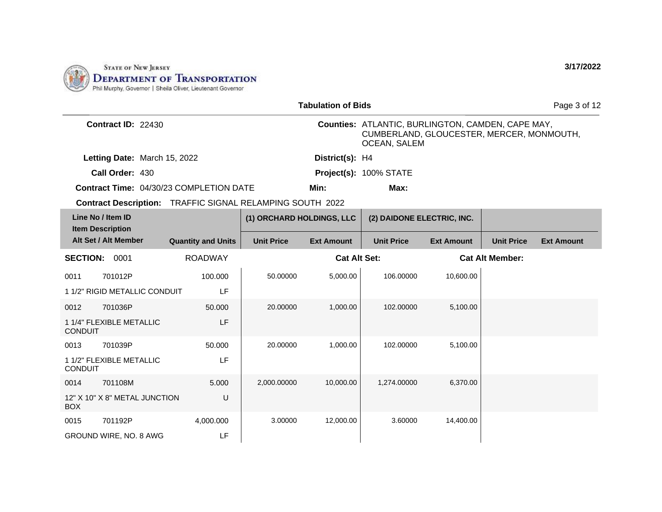

|                 |                                                |                           |                                                           | <b>Tabulation of Bids</b> |                                                                                                                              |                   |                        | Page 3 of 12      |
|-----------------|------------------------------------------------|---------------------------|-----------------------------------------------------------|---------------------------|------------------------------------------------------------------------------------------------------------------------------|-------------------|------------------------|-------------------|
|                 | Contract ID: 22430                             |                           |                                                           |                           | <b>Counties: ATLANTIC, BURLINGTON, CAMDEN, CAPE MAY,</b><br>CUMBERLAND, GLOUCESTER, MERCER, MONMOUTH,<br><b>OCEAN, SALEM</b> |                   |                        |                   |
|                 | Letting Date: March 15, 2022                   |                           |                                                           | District(s): H4           |                                                                                                                              |                   |                        |                   |
|                 | Call Order: 430                                |                           |                                                           |                           | Project(s): 100% STATE                                                                                                       |                   |                        |                   |
|                 | <b>Contract Time: 04/30/23 COMPLETION DATE</b> |                           |                                                           | Min:                      | Max:                                                                                                                         |                   |                        |                   |
|                 |                                                |                           | Contract Description: TRAFFIC SIGNAL RELAMPING SOUTH 2022 |                           |                                                                                                                              |                   |                        |                   |
|                 | Line No / Item ID<br><b>Item Description</b>   |                           | (1) ORCHARD HOLDINGS, LLC                                 |                           | (2) DAIDONE ELECTRIC, INC.                                                                                                   |                   |                        |                   |
|                 | Alt Set / Alt Member                           | <b>Quantity and Units</b> | <b>Unit Price</b>                                         | <b>Ext Amount</b>         | <b>Unit Price</b>                                                                                                            | <b>Ext Amount</b> | <b>Unit Price</b>      | <b>Ext Amount</b> |
| <b>SECTION:</b> | 0001                                           | <b>ROADWAY</b>            |                                                           | <b>Cat Alt Set:</b>       |                                                                                                                              |                   | <b>Cat Alt Member:</b> |                   |
| 0011            | 701012P                                        | 100.000                   | 50.00000                                                  | 5,000.00                  | 106.00000                                                                                                                    | 10,600.00         |                        |                   |
|                 | 1 1/2" RIGID METALLIC CONDUIT                  | LF                        |                                                           |                           |                                                                                                                              |                   |                        |                   |
| 0012            | 701036P                                        | 50.000                    | 20.00000                                                  | 1,000.00                  | 102.00000                                                                                                                    | 5,100.00          |                        |                   |
| <b>CONDUIT</b>  | 1 1/4" FLEXIBLE METALLIC                       | LF                        |                                                           |                           |                                                                                                                              |                   |                        |                   |
| 0013            | 701039P                                        | 50.000                    | 20.00000                                                  | 1,000.00                  | 102.00000                                                                                                                    | 5,100.00          |                        |                   |
| <b>CONDUIT</b>  | 1 1/2" FLEXIBLE METALLIC                       | LF                        |                                                           |                           |                                                                                                                              |                   |                        |                   |
| 0014            | 701108M                                        | 5.000                     | 2,000.00000                                               | 10.000.00                 | 1,274.00000                                                                                                                  | 6.370.00          |                        |                   |
| <b>BOX</b>      | 12" X 10" X 8" METAL JUNCTION                  | U                         |                                                           |                           |                                                                                                                              |                   |                        |                   |
| 0015            | 701192P                                        | 4,000.000                 | 3.00000                                                   | 12,000.00                 | 3.60000                                                                                                                      | 14,400.00         |                        |                   |
|                 | GROUND WIRE, NO. 8 AWG                         | LF                        |                                                           |                           |                                                                                                                              |                   |                        |                   |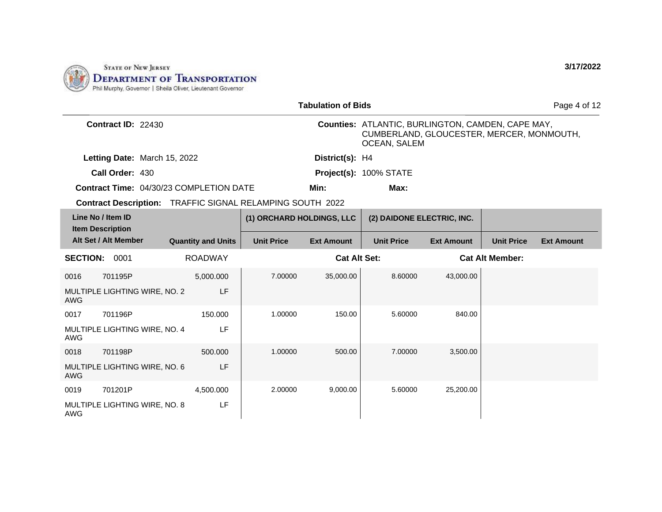

|                      |                                                                  |                           |                           | <b>Tabulation of Bids</b> |                                                                                                                              |                   |                        | Page 4 of 12      |
|----------------------|------------------------------------------------------------------|---------------------------|---------------------------|---------------------------|------------------------------------------------------------------------------------------------------------------------------|-------------------|------------------------|-------------------|
|                      | <b>Contract ID: 22430</b>                                        |                           |                           |                           | <b>Counties: ATLANTIC, BURLINGTON, CAMDEN, CAPE MAY,</b><br>CUMBERLAND, GLOUCESTER, MERCER, MONMOUTH,<br><b>OCEAN, SALEM</b> |                   |                        |                   |
|                      | Letting Date: March 15, 2022                                     |                           |                           | District(s): H4           |                                                                                                                              |                   |                        |                   |
|                      | Call Order: 430                                                  |                           |                           |                           | Project(s): 100% STATE                                                                                                       |                   |                        |                   |
|                      | <b>Contract Time: 04/30/23 COMPLETION DATE</b>                   |                           |                           | Min:                      | Max:                                                                                                                         |                   |                        |                   |
|                      | <b>Contract Description:</b> TRAFFIC SIGNAL RELAMPING SOUTH 2022 |                           |                           |                           |                                                                                                                              |                   |                        |                   |
|                      | Line No / Item ID<br><b>Item Description</b>                     |                           | (1) ORCHARD HOLDINGS, LLC |                           | (2) DAIDONE ELECTRIC, INC.                                                                                                   |                   |                        |                   |
|                      | Alt Set / Alt Member                                             | <b>Quantity and Units</b> | <b>Unit Price</b>         | <b>Ext Amount</b>         | <b>Unit Price</b>                                                                                                            | <b>Ext Amount</b> | <b>Unit Price</b>      | <b>Ext Amount</b> |
| <b>SECTION: 0001</b> |                                                                  | <b>ROADWAY</b>            |                           | <b>Cat Alt Set:</b>       |                                                                                                                              |                   | <b>Cat Alt Member:</b> |                   |
| 0016                 | 701195P                                                          | 5,000.000                 | 7.00000                   | 35,000.00                 | 8.60000                                                                                                                      | 43,000.00         |                        |                   |
| <b>AWG</b>           | MULTIPLE LIGHTING WIRE, NO. 2                                    | LF                        |                           |                           |                                                                                                                              |                   |                        |                   |
| 0017                 | 701196P                                                          | 150.000                   | 1.00000                   | 150.00                    | 5.60000                                                                                                                      | 840.00            |                        |                   |
| AWG                  | MULTIPLE LIGHTING WIRE, NO. 4                                    | LF                        |                           |                           |                                                                                                                              |                   |                        |                   |
| 0018                 | 701198P                                                          | 500.000                   | 1.00000                   | 500.00                    | 7.00000                                                                                                                      | 3,500.00          |                        |                   |
| <b>AWG</b>           | MULTIPLE LIGHTING WIRE, NO. 6                                    | LF                        |                           |                           |                                                                                                                              |                   |                        |                   |
| 0019                 | 701201P                                                          | 4,500.000                 | 2.00000                   | 9,000.00                  | 5.60000                                                                                                                      | 25,200.00         |                        |                   |
| <b>AWG</b>           | MULTIPLE LIGHTING WIRE, NO. 8                                    | LF                        |                           |                           |                                                                                                                              |                   |                        |                   |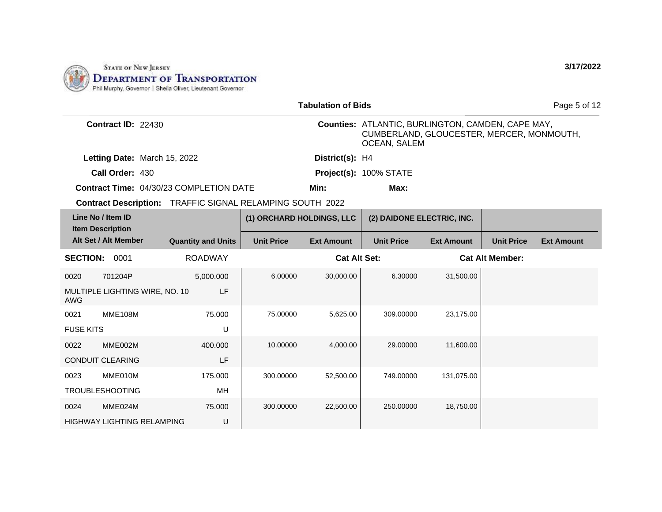

|                                                           |                           |                           | <b>Tabulation of Bids</b> |                                                                                                                              |                   |                        | Page 5 of 12      |
|-----------------------------------------------------------|---------------------------|---------------------------|---------------------------|------------------------------------------------------------------------------------------------------------------------------|-------------------|------------------------|-------------------|
| Contract ID: 22430                                        |                           |                           |                           | <b>Counties: ATLANTIC, BURLINGTON, CAMDEN, CAPE MAY,</b><br>CUMBERLAND, GLOUCESTER, MERCER, MONMOUTH,<br><b>OCEAN, SALEM</b> |                   |                        |                   |
| Letting Date: March 15, 2022                              |                           |                           | District(s): H4           |                                                                                                                              |                   |                        |                   |
| Call Order: 430                                           |                           |                           |                           | Project(s): 100% STATE                                                                                                       |                   |                        |                   |
| <b>Contract Time: 04/30/23 COMPLETION DATE</b>            |                           |                           | Min:                      | Max:                                                                                                                         |                   |                        |                   |
| Contract Description: TRAFFIC SIGNAL RELAMPING SOUTH 2022 |                           |                           |                           |                                                                                                                              |                   |                        |                   |
| Line No / Item ID<br><b>Item Description</b>              |                           | (1) ORCHARD HOLDINGS, LLC |                           | (2) DAIDONE ELECTRIC, INC.                                                                                                   |                   |                        |                   |
| Alt Set / Alt Member                                      | <b>Quantity and Units</b> | <b>Unit Price</b>         | <b>Ext Amount</b>         | <b>Unit Price</b>                                                                                                            | <b>Ext Amount</b> | <b>Unit Price</b>      | <b>Ext Amount</b> |
| <b>SECTION:</b><br>0001                                   | <b>ROADWAY</b>            |                           | <b>Cat Alt Set:</b>       |                                                                                                                              |                   | <b>Cat Alt Member:</b> |                   |
| 0020<br>701204P                                           | 5,000.000                 | 6.00000                   | 30,000.00                 | 6.30000                                                                                                                      | 31,500.00         |                        |                   |
| MULTIPLE LIGHTING WIRE, NO. 10<br><b>AWG</b>              | LF                        |                           |                           |                                                                                                                              |                   |                        |                   |
| <b>MME108M</b><br>0021                                    | 75.000                    | 75.00000                  | 5,625.00                  | 309.00000                                                                                                                    | 23,175.00         |                        |                   |
| <b>FUSE KITS</b>                                          | U                         |                           |                           |                                                                                                                              |                   |                        |                   |
| MME002M<br>0022                                           | 400,000                   | 10.00000                  | 4,000.00                  | 29.00000                                                                                                                     | 11,600.00         |                        |                   |
| <b>CONDUIT CLEARING</b>                                   | LF                        |                           |                           |                                                                                                                              |                   |                        |                   |
| 0023<br>MME010M                                           | 175.000                   | 300.00000                 | 52,500.00                 | 749.00000                                                                                                                    | 131,075.00        |                        |                   |
| <b>TROUBLESHOOTING</b>                                    | MН                        |                           |                           |                                                                                                                              |                   |                        |                   |
| 0024<br>MME024M                                           | 75,000                    | 300.00000                 | 22,500.00                 | 250,00000                                                                                                                    | 18,750.00         |                        |                   |
| <b>HIGHWAY LIGHTING RELAMPING</b>                         | U                         |                           |                           |                                                                                                                              |                   |                        |                   |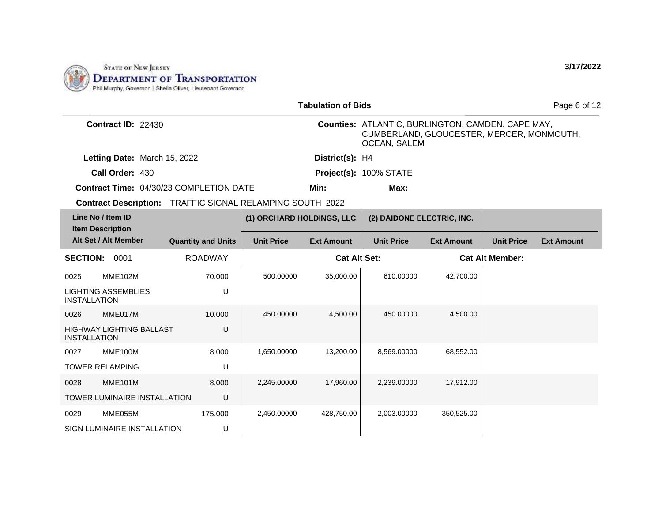

|                     |                                              |                                                                  |                           | <b>Tabulation of Bids</b> |                                                                                                                       |                   |                   | Page 6 of 12      |
|---------------------|----------------------------------------------|------------------------------------------------------------------|---------------------------|---------------------------|-----------------------------------------------------------------------------------------------------------------------|-------------------|-------------------|-------------------|
|                     | Contract ID: 22430                           |                                                                  |                           |                           | Counties: ATLANTIC, BURLINGTON, CAMDEN, CAPE MAY,<br>CUMBERLAND, GLOUCESTER, MERCER, MONMOUTH,<br><b>OCEAN, SALEM</b> |                   |                   |                   |
|                     | Letting Date: March 15, 2022                 |                                                                  |                           | District(s): H4           |                                                                                                                       |                   |                   |                   |
|                     | Call Order: 430                              |                                                                  |                           |                           | Project(s): 100% STATE                                                                                                |                   |                   |                   |
|                     |                                              | Contract Time: 04/30/23 COMPLETION DATE                          |                           | Min:                      | Max:                                                                                                                  |                   |                   |                   |
|                     |                                              | <b>Contract Description:</b> TRAFFIC SIGNAL RELAMPING SOUTH 2022 |                           |                           |                                                                                                                       |                   |                   |                   |
|                     | Line No / Item ID<br><b>Item Description</b> |                                                                  | (1) ORCHARD HOLDINGS, LLC |                           | (2) DAIDONE ELECTRIC, INC.                                                                                            |                   |                   |                   |
|                     | Alt Set / Alt Member                         | <b>Quantity and Units</b>                                        | <b>Unit Price</b>         | <b>Ext Amount</b>         | <b>Unit Price</b>                                                                                                     | <b>Ext Amount</b> | <b>Unit Price</b> | <b>Ext Amount</b> |
| <b>SECTION:</b>     | 0001                                         | <b>ROADWAY</b>                                                   | <b>Cat Alt Set:</b>       |                           | <b>Cat Alt Member:</b>                                                                                                |                   |                   |                   |
| 0025                | <b>MME102M</b>                               | 70.000                                                           | 500.00000                 | 35,000.00                 | 610.00000                                                                                                             | 42,700.00         |                   |                   |
| <b>INSTALLATION</b> | <b>LIGHTING ASSEMBLIES</b>                   | U                                                                |                           |                           |                                                                                                                       |                   |                   |                   |
| 0026                | MME017M                                      | 10.000                                                           | 450.00000                 | 4,500.00                  | 450.00000                                                                                                             | 4,500.00          |                   |                   |
| <b>INSTALLATION</b> | <b>HIGHWAY LIGHTING BALLAST</b>              | U                                                                |                           |                           |                                                                                                                       |                   |                   |                   |
| 0027                | MME100M                                      | 8.000                                                            | 1,650.00000               | 13,200.00                 | 8,569.00000                                                                                                           | 68,552.00         |                   |                   |
|                     | <b>TOWER RELAMPING</b>                       | U                                                                |                           |                           |                                                                                                                       |                   |                   |                   |
| 0028                | <b>MME101M</b>                               | 8.000                                                            | 2,245.00000               | 17,960.00                 | 2,239.00000                                                                                                           | 17,912.00         |                   |                   |
|                     | TOWER LUMINAIRE INSTALLATION                 | U                                                                |                           |                           |                                                                                                                       |                   |                   |                   |
| 0029                | MME055M                                      | 175,000                                                          | 2,450.00000               | 428,750.00                | 2,003.00000                                                                                                           | 350,525.00        |                   |                   |
|                     | SIGN LUMINAIRE INSTALLATION                  | U                                                                |                           |                           |                                                                                                                       |                   |                   |                   |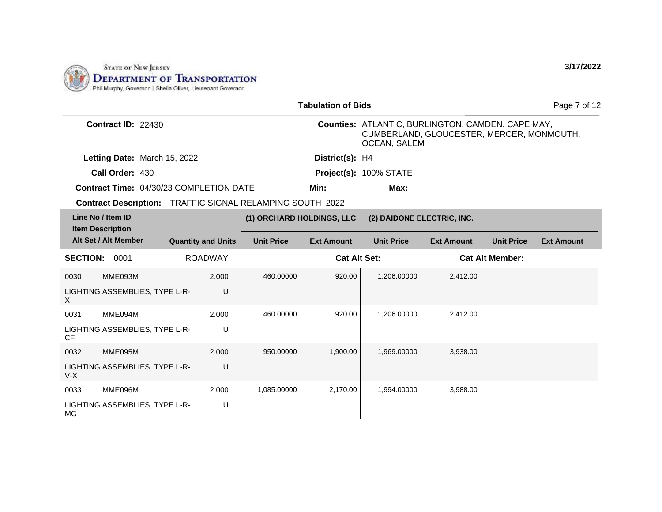

|                      | <b>Tabulation of Bids</b>                                 |                           |                |                           |                     |                                                                                                                       |                   |                        | Page 7 of 12      |
|----------------------|-----------------------------------------------------------|---------------------------|----------------|---------------------------|---------------------|-----------------------------------------------------------------------------------------------------------------------|-------------------|------------------------|-------------------|
|                      | <b>Contract ID: 22430</b>                                 |                           |                |                           |                     | Counties: ATLANTIC, BURLINGTON, CAMDEN, CAPE MAY,<br>CUMBERLAND, GLOUCESTER, MERCER, MONMOUTH,<br><b>OCEAN, SALEM</b> |                   |                        |                   |
|                      | Letting Date: March 15, 2022                              |                           |                |                           | District(s): H4     |                                                                                                                       |                   |                        |                   |
|                      | Call Order: 430                                           |                           |                |                           |                     | Project(s): 100% STATE                                                                                                |                   |                        |                   |
|                      | <b>Contract Time: 04/30/23 COMPLETION DATE</b>            |                           |                |                           | Min:                | Max:                                                                                                                  |                   |                        |                   |
|                      | Contract Description: TRAFFIC SIGNAL RELAMPING SOUTH 2022 |                           |                |                           |                     |                                                                                                                       |                   |                        |                   |
|                      | Line No / Item ID<br><b>Item Description</b>              |                           |                | (1) ORCHARD HOLDINGS, LLC |                     | (2) DAIDONE ELECTRIC, INC.                                                                                            |                   |                        |                   |
|                      | Alt Set / Alt Member                                      | <b>Quantity and Units</b> |                | <b>Unit Price</b>         | <b>Ext Amount</b>   | <b>Unit Price</b>                                                                                                     | <b>Ext Amount</b> | <b>Unit Price</b>      | <b>Ext Amount</b> |
| <b>SECTION: 0001</b> |                                                           |                           | <b>ROADWAY</b> |                           | <b>Cat Alt Set:</b> |                                                                                                                       |                   | <b>Cat Alt Member:</b> |                   |
| 0030                 | MME093M                                                   |                           | 2.000          | 460.00000                 | 920.00              | 1,206.00000                                                                                                           | 2,412.00          |                        |                   |
| $\mathsf X$          | LIGHTING ASSEMBLIES, TYPE L-R-                            |                           | U              |                           |                     |                                                                                                                       |                   |                        |                   |
| 0031                 | MME094M                                                   |                           | 2.000          | 460.00000                 | 920.00              | 1,206.00000                                                                                                           | 2,412.00          |                        |                   |
| <b>CF</b>            | LIGHTING ASSEMBLIES, TYPE L-R-                            |                           | U              |                           |                     |                                                                                                                       |                   |                        |                   |
| 0032                 | MME095M                                                   |                           | 2.000          | 950.00000                 | 1,900.00            | 1,969.00000                                                                                                           | 3,938.00          |                        |                   |
| $V-X$                | LIGHTING ASSEMBLIES, TYPE L-R-                            |                           | U              |                           |                     |                                                                                                                       |                   |                        |                   |
| 0033                 | MME096M                                                   |                           | 2.000          | 1,085.00000               | 2,170.00            | 1,994.00000                                                                                                           | 3,988.00          |                        |                   |
| MG                   | LIGHTING ASSEMBLIES, TYPE L-R-                            |                           | U              |                           |                     |                                                                                                                       |                   |                        |                   |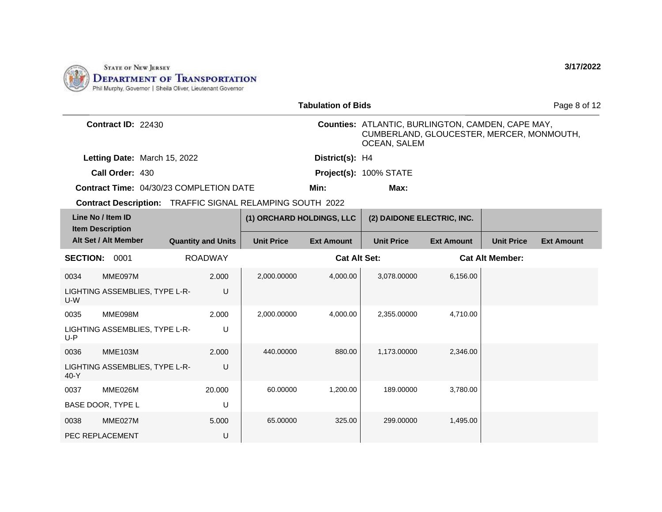

|                 |                                                           |                           |                           | <b>Tabulation of Bids</b> |                                                                                                                       |                   |                        | Page 8 of 12      |
|-----------------|-----------------------------------------------------------|---------------------------|---------------------------|---------------------------|-----------------------------------------------------------------------------------------------------------------------|-------------------|------------------------|-------------------|
|                 | Contract ID: 22430                                        |                           |                           |                           | Counties: ATLANTIC, BURLINGTON, CAMDEN, CAPE MAY,<br>CUMBERLAND, GLOUCESTER, MERCER, MONMOUTH,<br><b>OCEAN, SALEM</b> |                   |                        |                   |
|                 | Letting Date: March 15, 2022                              |                           |                           | District(s): H4           |                                                                                                                       |                   |                        |                   |
|                 | Call Order: 430                                           |                           |                           |                           | Project(s): 100% STATE                                                                                                |                   |                        |                   |
|                 | <b>Contract Time: 04/30/23 COMPLETION DATE</b>            |                           |                           | Min:                      | Max:                                                                                                                  |                   |                        |                   |
|                 | Contract Description: TRAFFIC SIGNAL RELAMPING SOUTH 2022 |                           |                           |                           |                                                                                                                       |                   |                        |                   |
|                 | Line No / Item ID<br><b>Item Description</b>              |                           | (1) ORCHARD HOLDINGS, LLC |                           | (2) DAIDONE ELECTRIC, INC.                                                                                            |                   |                        |                   |
|                 | Alt Set / Alt Member                                      | <b>Quantity and Units</b> | <b>Unit Price</b>         | <b>Ext Amount</b>         | <b>Unit Price</b>                                                                                                     | <b>Ext Amount</b> | <b>Unit Price</b>      | <b>Ext Amount</b> |
| <b>SECTION:</b> | 0001                                                      | <b>ROADWAY</b>            |                           | <b>Cat Alt Set:</b>       |                                                                                                                       |                   | <b>Cat Alt Member:</b> |                   |
| 0034            | MME097M                                                   | 2.000                     | 2,000.00000               | 4,000.00                  | 3,078.00000                                                                                                           | 6,156.00          |                        |                   |
| $U-W$           | LIGHTING ASSEMBLIES, TYPE L-R-                            | U                         |                           |                           |                                                                                                                       |                   |                        |                   |
| 0035            | MME098M                                                   | 2.000                     | 2,000.00000               | 4,000.00                  | 2,355.00000                                                                                                           | 4,710.00          |                        |                   |
| $U-P$           | LIGHTING ASSEMBLIES, TYPE L-R-                            | U                         |                           |                           |                                                                                                                       |                   |                        |                   |
| 0036            | <b>MME103M</b>                                            | 2.000                     | 440.00000                 | 880.00                    | 1,173.00000                                                                                                           | 2.346.00          |                        |                   |
| $40-Y$          | LIGHTING ASSEMBLIES, TYPE L-R-                            | U                         |                           |                           |                                                                                                                       |                   |                        |                   |
| 0037            | MME026M                                                   | 20.000                    | 60.00000                  | 1,200.00                  | 189.00000                                                                                                             | 3,780.00          |                        |                   |
|                 | BASE DOOR, TYPE L                                         | U                         |                           |                           |                                                                                                                       |                   |                        |                   |
| 0038            | MME027M                                                   | 5.000                     | 65.00000                  | 325.00                    | 299.00000                                                                                                             | 1,495.00          |                        |                   |
|                 | PEC REPLACEMENT                                           | U                         |                           |                           |                                                                                                                       |                   |                        |                   |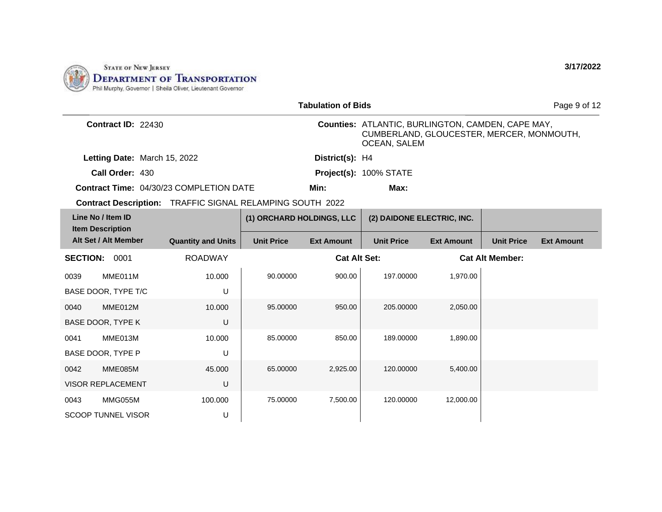

|                                              |                              |                                                           |                           | <b>Tabulation of Bids</b> |                                                                                                                       |                   |                        | Page 9 of 12      |
|----------------------------------------------|------------------------------|-----------------------------------------------------------|---------------------------|---------------------------|-----------------------------------------------------------------------------------------------------------------------|-------------------|------------------------|-------------------|
|                                              | <b>Contract ID: 22430</b>    |                                                           |                           |                           | Counties: ATLANTIC, BURLINGTON, CAMDEN, CAPE MAY,<br>CUMBERLAND, GLOUCESTER, MERCER, MONMOUTH,<br><b>OCEAN, SALEM</b> |                   |                        |                   |
|                                              | Letting Date: March 15, 2022 |                                                           |                           | District(s): H4           |                                                                                                                       |                   |                        |                   |
|                                              | Call Order: 430              |                                                           |                           |                           | Project(s): 100% STATE                                                                                                |                   |                        |                   |
|                                              |                              | <b>Contract Time: 04/30/23 COMPLETION DATE</b>            |                           | Min:                      | Max:                                                                                                                  |                   |                        |                   |
|                                              |                              | Contract Description: TRAFFIC SIGNAL RELAMPING SOUTH 2022 |                           |                           |                                                                                                                       |                   |                        |                   |
| Line No / Item ID<br><b>Item Description</b> |                              |                                                           | (1) ORCHARD HOLDINGS, LLC |                           | (2) DAIDONE ELECTRIC, INC.                                                                                            |                   |                        |                   |
| Alt Set / Alt Member                         |                              | <b>Quantity and Units</b>                                 | <b>Unit Price</b>         | <b>Ext Amount</b>         | <b>Unit Price</b>                                                                                                     | <b>Ext Amount</b> | <b>Unit Price</b>      | <b>Ext Amount</b> |
| <b>SECTION:</b>                              | 0001                         | <b>ROADWAY</b>                                            |                           | <b>Cat Alt Set:</b>       |                                                                                                                       |                   | <b>Cat Alt Member:</b> |                   |
| 0039                                         | MME011M                      | 10.000                                                    | 90.00000                  | 900.00                    | 197.00000                                                                                                             | 1,970.00          |                        |                   |
| BASE DOOR, TYPE T/C                          |                              | U                                                         |                           |                           |                                                                                                                       |                   |                        |                   |
| 0040                                         | MME012M                      | 10.000                                                    | 95.00000                  | 950.00                    | 205.00000                                                                                                             | 2,050.00          |                        |                   |
| BASE DOOR, TYPE K                            |                              | U                                                         |                           |                           |                                                                                                                       |                   |                        |                   |
| 0041                                         | MME013M                      | 10.000                                                    | 85.00000                  | 850.00                    | 189.00000                                                                                                             | 1,890.00          |                        |                   |
| BASE DOOR, TYPE P                            |                              | $\cup$                                                    |                           |                           |                                                                                                                       |                   |                        |                   |
| 0042                                         | MME085M                      | 45.000                                                    | 65.00000                  | 2,925.00                  | 120.00000                                                                                                             | 5,400.00          |                        |                   |
| <b>VISOR REPLACEMENT</b>                     |                              | U                                                         |                           |                           |                                                                                                                       |                   |                        |                   |
| 0043                                         | MMG055M                      | 100.000                                                   | 75.00000                  | 7,500.00                  | 120.00000                                                                                                             | 12,000.00         |                        |                   |
| <b>SCOOP TUNNEL VISOR</b>                    |                              | U                                                         |                           |                           |                                                                                                                       |                   |                        |                   |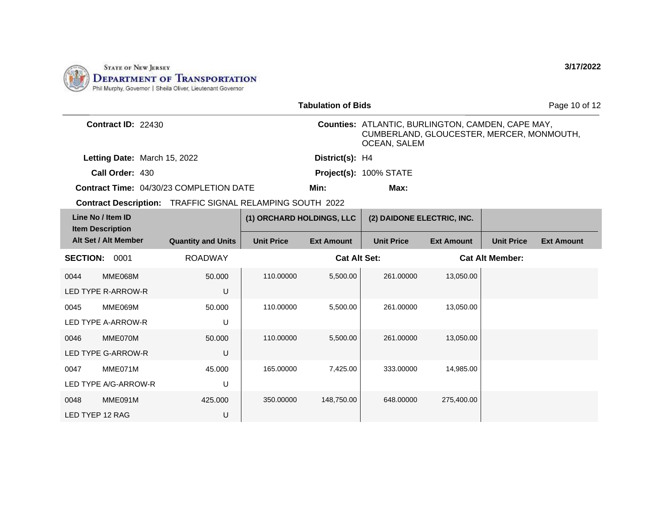

| <b>Tabulation of Bids</b>                                 |                           |                           |                     |                                                                                                                       |                   |                        | Page 10 of 12     |
|-----------------------------------------------------------|---------------------------|---------------------------|---------------------|-----------------------------------------------------------------------------------------------------------------------|-------------------|------------------------|-------------------|
| Contract ID: 22430                                        |                           |                           |                     | Counties: ATLANTIC, BURLINGTON, CAMDEN, CAPE MAY,<br>CUMBERLAND, GLOUCESTER, MERCER, MONMOUTH,<br><b>OCEAN, SALEM</b> |                   |                        |                   |
| Letting Date: March 15, 2022                              |                           |                           | District(s): H4     |                                                                                                                       |                   |                        |                   |
| Call Order: 430                                           |                           |                           |                     | Project(s): 100% STATE                                                                                                |                   |                        |                   |
| <b>Contract Time: 04/30/23 COMPLETION DATE</b>            |                           |                           | Min:                | Max:                                                                                                                  |                   |                        |                   |
| Contract Description: TRAFFIC SIGNAL RELAMPING SOUTH 2022 |                           |                           |                     |                                                                                                                       |                   |                        |                   |
| Line No / Item ID<br><b>Item Description</b>              |                           | (1) ORCHARD HOLDINGS, LLC |                     | (2) DAIDONE ELECTRIC, INC.                                                                                            |                   |                        |                   |
| Alt Set / Alt Member                                      | <b>Quantity and Units</b> | <b>Unit Price</b>         | <b>Ext Amount</b>   | <b>Unit Price</b>                                                                                                     | <b>Ext Amount</b> | <b>Unit Price</b>      | <b>Ext Amount</b> |
| <b>SECTION: 0001</b>                                      | <b>ROADWAY</b>            |                           | <b>Cat Alt Set:</b> |                                                                                                                       |                   | <b>Cat Alt Member:</b> |                   |
| MME068M<br>0044                                           | 50.000                    | 110.00000                 | 5,500.00            | 261.00000                                                                                                             | 13,050.00         |                        |                   |
| <b>LED TYPE R-ARROW-R</b>                                 | $\cup$                    |                           |                     |                                                                                                                       |                   |                        |                   |
| MME069M<br>0045                                           | 50,000                    | 110.00000                 | 5,500.00            | 261.00000                                                                                                             | 13.050.00         |                        |                   |
| LED TYPE A-ARROW-R                                        | U                         |                           |                     |                                                                                                                       |                   |                        |                   |
| MME070M<br>0046                                           | 50.000                    | 110.00000                 | 5,500.00            | 261.00000                                                                                                             | 13,050.00         |                        |                   |
| <b>LED TYPE G-ARROW-R</b>                                 | $\cup$                    |                           |                     |                                                                                                                       |                   |                        |                   |
| MME071M<br>0047                                           | 45,000                    | 165.00000                 | 7,425.00            | 333.00000                                                                                                             | 14,985.00         |                        |                   |
| LED TYPE A/G-ARROW-R                                      | U                         |                           |                     |                                                                                                                       |                   |                        |                   |
| MME091M<br>0048                                           | 425,000                   | 350.00000                 | 148,750.00          | 648.00000                                                                                                             | 275,400.00        |                        |                   |
| LED TYEP 12 RAG                                           | U                         |                           |                     |                                                                                                                       |                   |                        |                   |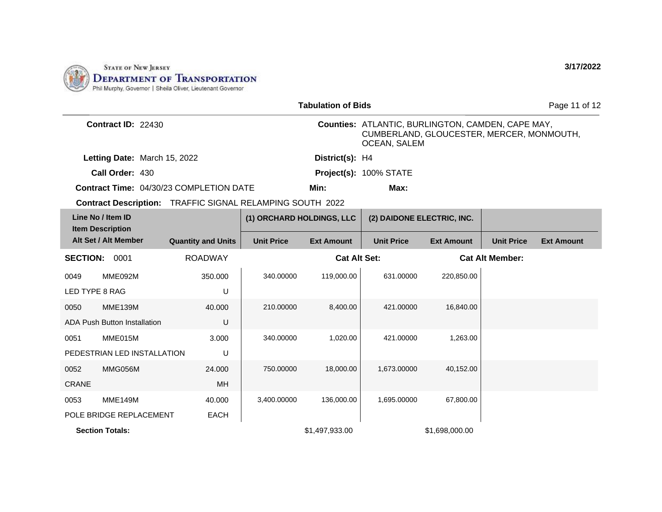

|                                              |                                     |                                                                  |                           | <b>Tabulation of Bids</b> |                                                                                                                              |                   |                        | Page 11 of 12     |
|----------------------------------------------|-------------------------------------|------------------------------------------------------------------|---------------------------|---------------------------|------------------------------------------------------------------------------------------------------------------------------|-------------------|------------------------|-------------------|
|                                              | Contract ID: 22430                  |                                                                  |                           |                           | <b>Counties: ATLANTIC, BURLINGTON, CAMDEN, CAPE MAY,</b><br>CUMBERLAND, GLOUCESTER, MERCER, MONMOUTH,<br><b>OCEAN, SALEM</b> |                   |                        |                   |
|                                              | Letting Date: March 15, 2022        |                                                                  |                           | District(s): H4           |                                                                                                                              |                   |                        |                   |
|                                              | Call Order: 430                     |                                                                  |                           |                           | Project(s): 100% STATE                                                                                                       |                   |                        |                   |
|                                              |                                     | <b>Contract Time: 04/30/23 COMPLETION DATE</b>                   |                           | Min:                      | Max:                                                                                                                         |                   |                        |                   |
|                                              |                                     | <b>Contract Description: TRAFFIC SIGNAL RELAMPING SOUTH 2022</b> |                           |                           |                                                                                                                              |                   |                        |                   |
| Line No / Item ID<br><b>Item Description</b> |                                     |                                                                  | (1) ORCHARD HOLDINGS, LLC |                           | (2) DAIDONE ELECTRIC, INC.                                                                                                   |                   |                        |                   |
|                                              | Alt Set / Alt Member                | <b>Quantity and Units</b>                                        | <b>Unit Price</b>         | <b>Ext Amount</b>         | <b>Unit Price</b>                                                                                                            | <b>Ext Amount</b> | <b>Unit Price</b>      | <b>Ext Amount</b> |
| <b>SECTION:</b>                              | 0001                                | <b>ROADWAY</b>                                                   |                           | <b>Cat Alt Set:</b>       |                                                                                                                              |                   | <b>Cat Alt Member:</b> |                   |
| 0049                                         | MME092M                             | 350.000                                                          | 340.00000                 | 119,000.00                | 631.00000                                                                                                                    | 220,850.00        |                        |                   |
| LED TYPE 8 RAG                               |                                     | U                                                                |                           |                           |                                                                                                                              |                   |                        |                   |
| 0050                                         | <b>MME139M</b>                      | 40.000                                                           | 210.00000                 | 8,400.00                  | 421.00000                                                                                                                    | 16,840.00         |                        |                   |
|                                              | <b>ADA Push Button Installation</b> | U                                                                |                           |                           |                                                                                                                              |                   |                        |                   |
| 0051                                         | MME015M                             | 3.000                                                            | 340.00000                 | 1,020.00                  | 421.00000                                                                                                                    | 1,263.00          |                        |                   |
|                                              | PEDESTRIAN LED INSTALLATION         | U                                                                |                           |                           |                                                                                                                              |                   |                        |                   |
| 0052                                         | MMG056M                             | 24.000                                                           | 750.00000                 | 18,000.00                 | 1,673.00000                                                                                                                  | 40,152.00         |                        |                   |
| <b>CRANE</b>                                 |                                     | MH                                                               |                           |                           |                                                                                                                              |                   |                        |                   |
| 0053                                         | <b>MME149M</b>                      | 40.000                                                           | 3,400.00000               | 136,000.00                | 1,695.00000                                                                                                                  | 67,800.00         |                        |                   |
|                                              | POLE BRIDGE REPLACEMENT             | <b>EACH</b>                                                      |                           |                           |                                                                                                                              |                   |                        |                   |
| <b>Section Totals:</b>                       |                                     |                                                                  |                           | \$1,497,933.00            |                                                                                                                              | \$1,698,000.00    |                        |                   |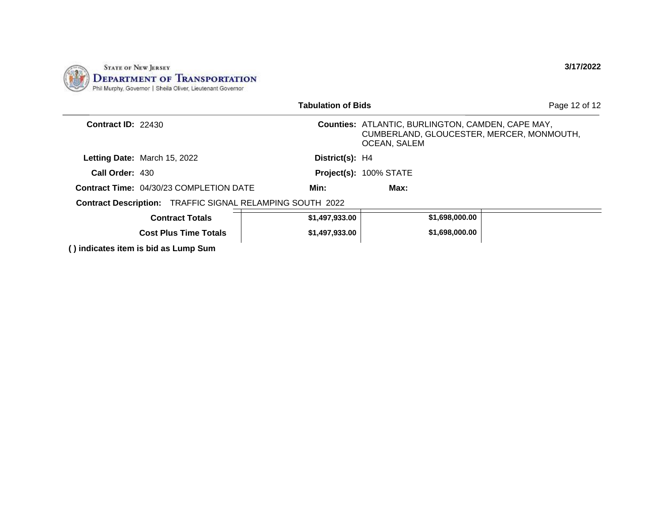

|                           |                                                | <b>Tabulation of Bids</b>                                        |                                                                                                                       | Page 12 of 12 |
|---------------------------|------------------------------------------------|------------------------------------------------------------------|-----------------------------------------------------------------------------------------------------------------------|---------------|
| <b>Contract ID: 22430</b> |                                                |                                                                  | <b>Counties: ATLANTIC, BURLINGTON, CAMDEN, CAPE MAY,</b><br>CUMBERLAND, GLOUCESTER, MERCER, MONMOUTH,<br>OCEAN, SALEM |               |
|                           | Letting Date: March 15, 2022                   | District(s): H4                                                  |                                                                                                                       |               |
| Call Order: 430           |                                                |                                                                  | Project(s): 100% STATE                                                                                                |               |
|                           | <b>Contract Time: 04/30/23 COMPLETION DATE</b> | Min:                                                             | Max:                                                                                                                  |               |
|                           |                                                | <b>Contract Description: TRAFFIC SIGNAL RELAMPING SOUTH 2022</b> |                                                                                                                       |               |
|                           | <b>Contract Totals</b>                         | \$1,497,933.00                                                   | \$1,698,000.00                                                                                                        |               |
|                           | <b>Cost Plus Time Totals</b>                   | \$1,497,933.00                                                   | \$1,698,000.00                                                                                                        |               |
|                           | () indicates item is bid as Lump Sum           |                                                                  |                                                                                                                       |               |